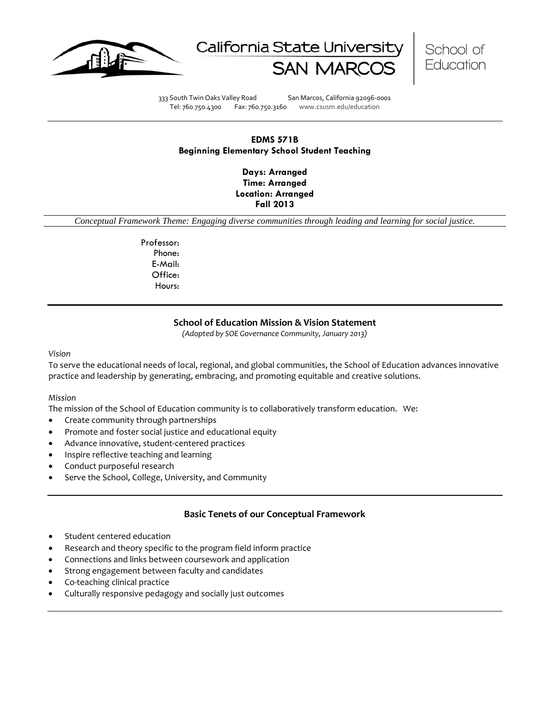





333 South Twin Oaks Valley Road San Marcos, California 92096-0001 Tel: 760.750.4300 Fax: 760.750.3160 www.csusm.edu/education

# **EDMS 571B Beginning Elementary School Student Teaching**

**Days: Arranged Time: Arranged Location: Arranged Fall 2013** 

*Conceptual Framework Theme: Engaging diverse communities through leading and learning for social justice.*

Professor: Phone: E-Mail: Office: Hours:

# **School of Education Mission & Vision Statement**

*(Adopted by SOE Governance Community, January 2013)*

#### *Vision*

To serve the educational needs of local, regional, and global communities, the School of Education advances innovative practice and leadership by generating, embracing, and promoting equitable and creative solutions.

#### *Mission*

The mission of the School of Education community is to collaboratively transform education. We:

- Create community through partnerships
- Promote and foster social justice and educational equity
- Advance innovative, student-centered practices
- Inspire reflective teaching and learning
- Conduct purposeful research
- Serve the School, College, University, and Community

# **Basic Tenets of our Conceptual Framework**

- Student centered education
- Research and theory specific to the program field inform practice
- Connections and links between coursework and application
- Strong engagement between faculty and candidates
- Co-teaching clinical practice
- Culturally responsive pedagogy and socially just outcomes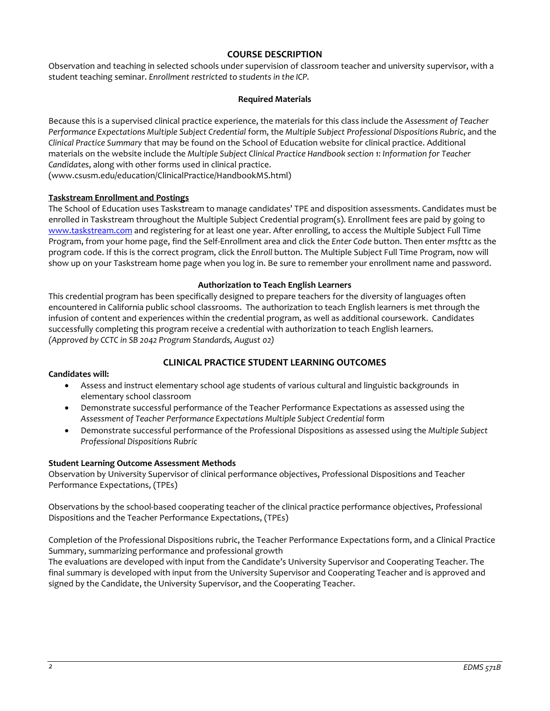# **COURSE DESCRIPTION**

Observation and teaching in selected schools under supervision of classroom teacher and university supervisor, with a student teaching seminar. *Enrollment restricted to students in the ICP.*

## **Required Materials**

Because this is a supervised clinical practice experience, the materials for this class include the *Assessment of Teacher Performance Expectations Multiple Subject Credential* form, the *Multiple Subject Professional Dispositions Rubric*, and the *Clinical Practice Summary* that may be found on the School of Education website for clinical practice. Additional materials on the website include the *Multiple Subject Clinical Practice Handbook section 1: Information for Teacher Candidates*, along with other forms used in clinical practice.

(www.csusm.edu/education/ClinicalPractice/HandbookMS.html)

# **Taskstream Enrollment and Postings**

The School of Education uses Taskstream to manage candidates' TPE and disposition assessments. Candidates must be enrolled in Taskstream throughout the Multiple Subject Credential program(s). Enrollment fees are paid by going to [www.taskstream.com](http://www.taskstrem.com/) and registering for at least one year. After enrolling, to access the Multiple Subject Full Time Program, from your home page, find the Self-Enrollment area and click the *Enter Code* button. Then enter *msfttc* as the program code. If this is the correct program, click the *Enroll* button. The Multiple Subject Full Time Program, now will show up on your Taskstream home page when you log in. Be sure to remember your enrollment name and password.

## **Authorization to Teach English Learners**

This credential program has been specifically designed to prepare teachers for the diversity of languages often encountered in California public school classrooms. The authorization to teach English learners is met through the infusion of content and experiences within the credential program, as well as additional coursework. Candidates successfully completing this program receive a credential with authorization to teach English learners. *(Approved by CCTC in SB 2042 Program Standards, August 02)*

# **CLINICAL PRACTICE STUDENT LEARNING OUTCOMES**

#### **Candidates will:**

- Assess and instruct elementary school age students of various cultural and linguistic backgrounds in elementary school classroom
- Demonstrate successful performance of the Teacher Performance Expectations as assessed using the Assessment of Teacher Performance Expectations Multiple Subject Credential form
- Demonstrate successful performance of the Professional Dispositions as assessed using the *Multiple Subject Professional Dispositions Rubric*

## **Student Learning Outcome Assessment Methods**

Observation by University Supervisor of clinical performance objectives, Professional Dispositions and Teacher Performance Expectations, (TPEs)

Observations by the school-based cooperating teacher of the clinical practice performance objectives, Professional Dispositions and the Teacher Performance Expectations, (TPEs)

Completion of the Professional Dispositions rubric, the Teacher Performance Expectations form, and a Clinical Practice Summary, summarizing performance and professional growth

The evaluations are developed with input from the Candidate's University Supervisor and Cooperating Teacher. The final summary is developed with input from the University Supervisor and Cooperating Teacher and is approved and signed by the Candidate, the University Supervisor, and the Cooperating Teacher.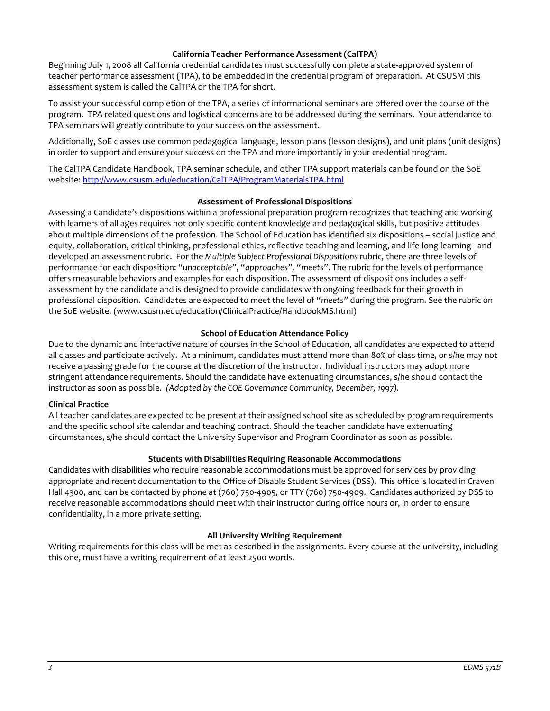## **California Teacher Performance Assessment (CalTPA)**

Beginning July 1, 2008 all California credential candidates must successfully complete a state-approved system of teacher performance assessment (TPA), to be embedded in the credential program of preparation. At CSUSM this assessment system is called the CalTPA or the TPA for short.

To assist your successful completion of the TPA, a series of informational seminars are offered over the course of the program. TPA related questions and logistical concerns are to be addressed during the seminars. Your attendance to TPA seminars will greatly contribute to your success on the assessment.

Additionally, SoE classes use common pedagogical language, lesson plans (lesson designs), and unit plans (unit designs) in order to support and ensure your success on the TPA and more importantly in your credential program.

The CalTPA Candidate Handbook, TPA seminar schedule, and other TPA support materials can be found on the SoE website: <http://www.csusm.edu/education/CalTPA/ProgramMaterialsTPA.html>

#### **Assessment of Professional Dispositions**

Assessing a Candidate's dispositions within a professional preparation program recognizes that teaching and working with learners of all ages requires not only specific content knowledge and pedagogical skills, but positive attitudes about multiple dimensions of the profession. The School of Education has identified six dispositions – social justice and equity, collaboration, critical thinking, professional ethics, reflective teaching and learning, and life-long learning - and developed an assessment rubric. For the *Multiple Subject Professional Dispositions* rubric, there are three levels of performance for each disposition: "*unacceptable"*, "*approaches", "meets"*. The rubric for the levels of performance offers measurable behaviors and examples for each disposition. The assessment of dispositions includes a selfassessment by the candidate and is designed to provide candidates with ongoing feedback for their growth in professional disposition. Candidates are expected to meet the level of "*meets"* during the program. See the rubric on the SoE website. (www.csusm.edu/education/ClinicalPractice/HandbookMS.html)

## **School of Education Attendance Policy**

Due to the dynamic and interactive nature of courses in the School of Education, all candidates are expected to attend all classes and participate actively. At a minimum, candidates must attend more than 80% of class time, or s/he may not receive a passing grade for the course at the discretion of the instructor. Individual instructors may adopt more stringent attendance requirements. Should the candidate have extenuating circumstances, s/he should contact the instructor as soon as possible. *(Adopted by the COE Governance Community, December, 1997).*

## **Clinical Practice**

All teacher candidates are expected to be present at their assigned school site as scheduled by program requirements and the specific school site calendar and teaching contract. Should the teacher candidate have extenuating circumstances, s/he should contact the University Supervisor and Program Coordinator as soon as possible.

## **Students with Disabilities Requiring Reasonable Accommodations**

Candidates with disabilities who require reasonable accommodations must be approved for services by providing appropriate and recent documentation to the Office of Disable Student Services (DSS). This office is located in Craven Hall 4300, and can be contacted by phone at (760) 750-4905, or TTY (760) 750-4909. Candidates authorized by DSS to receive reasonable accommodations should meet with their instructor during office hours or, in order to ensure confidentiality, in a more private setting.

## **All University Writing Requirement**

Writing requirements for this class will be met as described in the assignments. Every course at the university, including this one, must have a writing requirement of at least 2500 words.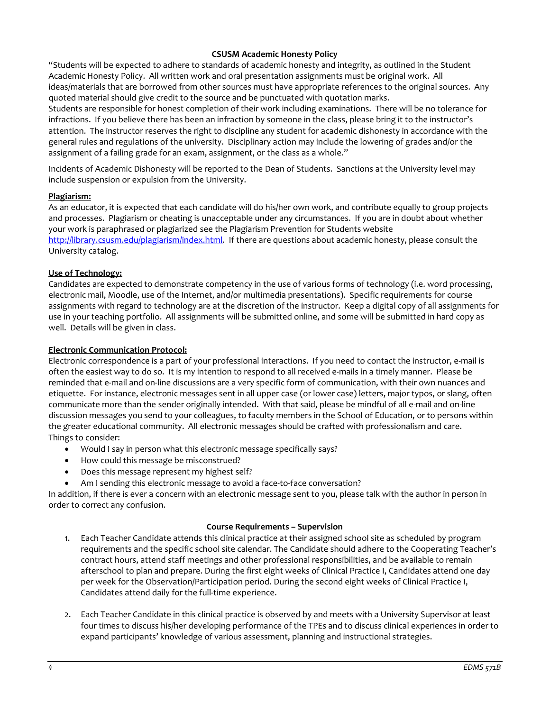# **CSUSM Academic Honesty Policy**

"Students will be expected to adhere to standards of academic honesty and integrity, as outlined in the Student Academic Honesty Policy. All written work and oral presentation assignments must be original work. All ideas/materials that are borrowed from other sources must have appropriate references to the original sources. Any quoted material should give credit to the source and be punctuated with quotation marks.

Students are responsible for honest completion of their work including examinations. There will be no tolerance for infractions. If you believe there has been an infraction by someone in the class, please bring it to the instructor's attention. The instructor reserves the right to discipline any student for academic dishonesty in accordance with the general rules and regulations of the university. Disciplinary action may include the lowering of grades and/or the assignment of a failing grade for an exam, assignment, or the class as a whole."

Incidents of Academic Dishonesty will be reported to the Dean of Students. Sanctions at the University level may include suspension or expulsion from the University.

## **Plagiarism:**

As an educator, it is expected that each candidate will do his/her own work, and contribute equally to group projects and processes. Plagiarism or cheating is unacceptable under any circumstances. If you are in doubt about whether your work is paraphrased or plagiarized see the Plagiarism Prevention for Students website [http://library.csusm.edu/plagiarism/index.html.](http://library.csusm.edu/plagiarism/index.html) If there are questions about academic honesty, please consult the University catalog.

# **Use of Technology:**

Candidates are expected to demonstrate competency in the use of various forms of technology (i.e. word processing, electronic mail, Moodle, use of the Internet, and/or multimedia presentations). Specific requirements for course assignments with regard to technology are at the discretion of the instructor. Keep a digital copy of all assignments for use in your teaching portfolio. All assignments will be submitted online, and some will be submitted in hard copy as well. Details will be given in class.

#### **Electronic Communication Protocol:**

Electronic correspondence is a part of your professional interactions. If you need to contact the instructor, e-mail is often the easiest way to do so. It is my intention to respond to all received e-mails in a timely manner. Please be reminded that e-mail and on-line discussions are a very specific form of communication, with their own nuances and etiquette. For instance, electronic messages sent in all upper case (or lower case) letters, major typos, or slang, often communicate more than the sender originally intended. With that said, please be mindful of all e-mail and on-line discussion messages you send to your colleagues, to faculty members in the School of Education, or to persons within the greater educational community. All electronic messages should be crafted with professionalism and care. Things to consider:

- Would I say in person what this electronic message specifically says?
- How could this message be misconstrued?
- Does this message represent my highest self?
- Am I sending this electronic message to avoid a face-to-face conversation?

In addition, if there is ever a concern with an electronic message sent to you, please talk with the author in person in order to correct any confusion.

#### **Course Requirements – Supervision**

- 1. Each Teacher Candidate attends this clinical practice at their assigned school site as scheduled by program requirements and the specific school site calendar. The Candidate should adhere to the Cooperating Teacher's contract hours, attend staff meetings and other professional responsibilities, and be available to remain afterschool to plan and prepare. During the first eight weeks of Clinical Practice I, Candidates attend one day per week for the Observation/Participation period. During the second eight weeks of Clinical Practice I, Candidates attend daily for the full-time experience.
- 2. Each Teacher Candidate in this clinical practice is observed by and meets with a University Supervisor at least four times to discuss his/her developing performance of the TPEs and to discuss clinical experiences in order to expand participants' knowledge of various assessment, planning and instructional strategies.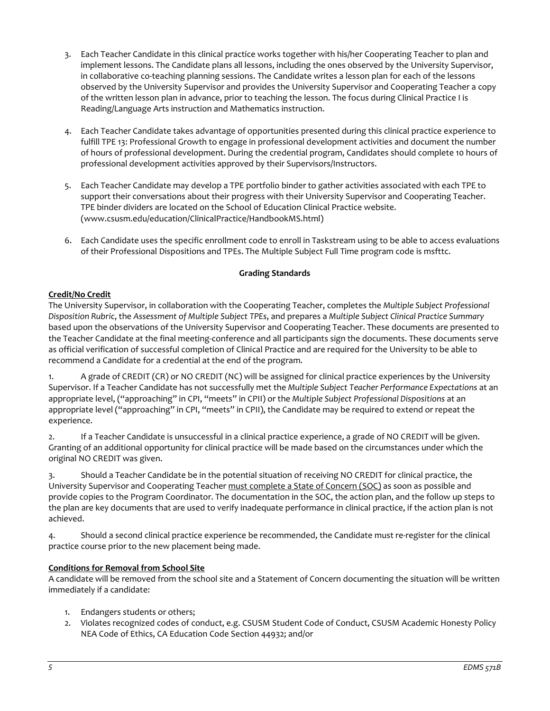- 3. Each Teacher Candidate in this clinical practice works together with his/her Cooperating Teacher to plan and implement lessons. The Candidate plans all lessons, including the ones observed by the University Supervisor, in collaborative co-teaching planning sessions. The Candidate writes a lesson plan for each of the lessons observed by the University Supervisor and provides the University Supervisor and Cooperating Teacher a copy of the written lesson plan in advance, prior to teaching the lesson. The focus during Clinical Practice I is Reading/Language Arts instruction and Mathematics instruction.
- 4. Each Teacher Candidate takes advantage of opportunities presented during this clinical practice experience to fulfill TPE 13: Professional Growth to engage in professional development activities and document the number of hours of professional development. During the credential program, Candidates should complete 10 hours of professional development activities approved by their Supervisors/Instructors.
- 5. Each Teacher Candidate may develop a TPE portfolio binder to gather activities associated with each TPE to support their conversations about their progress with their University Supervisor and Cooperating Teacher. TPE binder dividers are located on the School of Education Clinical Practice website. (www.csusm.edu/education/ClinicalPractice/HandbookMS.html)
- 6. Each Candidate uses the specific enrollment code to enroll in Taskstream using to be able to access evaluations of their Professional Dispositions and TPEs. The Multiple Subject Full Time program code is msfttc.

# **Grading Standards**

# **Credit/No Credit**

The University Supervisor, in collaboration with the Cooperating Teacher, completes the *Multiple Subject Professional Disposition Rubric*, the *Assessment of Multiple Subject TPEs*, and prepares a *Multiple Subject Clinical Practice Summary* based upon the observations of the University Supervisor and Cooperating Teacher. These documents are presented to the Teacher Candidate at the final meeting-conference and all participants sign the documents. These documents serve as official verification of successful completion of Clinical Practice and are required for the University to be able to recommend a Candidate for a credential at the end of the program.

1. A grade of CREDIT (CR) or NO CREDIT (NC) will be assigned for clinical practice experiences by the University Supervisor. If a Teacher Candidate has not successfully met the *Multiple Subject Teacher Performance Expectations* at an appropriate level, ("approaching" in CPI, "meets" in CPII) or the *Multiple Subject Professional Dispositions* at an appropriate level ("approaching" in CPI, "meets" in CPII), the Candidate may be required to extend or repeat the experience.

2. If a Teacher Candidate is unsuccessful in a clinical practice experience, a grade of NO CREDIT will be given. Granting of an additional opportunity for clinical practice will be made based on the circumstances under which the original NO CREDIT was given.

3. Should a Teacher Candidate be in the potential situation of receiving NO CREDIT for clinical practice, the University Supervisor and Cooperating Teacher must complete a State of Concern (SOC) as soon as possible and provide copies to the Program Coordinator. The documentation in the SOC, the action plan, and the follow up steps to the plan are key documents that are used to verify inadequate performance in clinical practice, if the action plan is not achieved.

4. Should a second clinical practice experience be recommended, the Candidate must re-register for the clinical practice course prior to the new placement being made.

# **Conditions for Removal from School Site**

A candidate will be removed from the school site and a Statement of Concern documenting the situation will be written immediately if a candidate:

- 1. Endangers students or others;
- 2. Violates recognized codes of conduct, e.g. CSUSM Student Code of Conduct, CSUSM Academic Honesty Policy NEA Code of Ethics, CA Education Code Section 44932; and/or